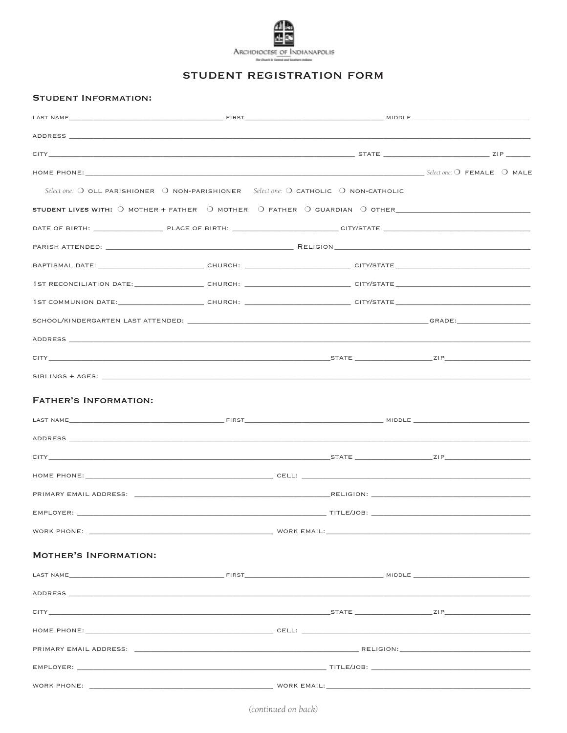

## STUDENT REGISTRATION FORM

## **STUDENT INFORMATION:**

| HOME PHONE: Select one: O FEMALE O MALE                                                                                                                                                                                        |  |  |
|--------------------------------------------------------------------------------------------------------------------------------------------------------------------------------------------------------------------------------|--|--|
| Select one: $\bigcirc$ OLL PARISHIONER $\bigcirc$ NON-PARISHIONER Select one: $\bigcirc$ CATHOLIC $\bigcirc$ NON-CATHOLIC                                                                                                      |  |  |
| STUDENT LIVES WITH: 0 MOTHER + FATHER 0 MOTHER 0 FATHER 0 GUARDIAN 0 OTHER__________________________                                                                                                                           |  |  |
|                                                                                                                                                                                                                                |  |  |
|                                                                                                                                                                                                                                |  |  |
|                                                                                                                                                                                                                                |  |  |
|                                                                                                                                                                                                                                |  |  |
|                                                                                                                                                                                                                                |  |  |
|                                                                                                                                                                                                                                |  |  |
|                                                                                                                                                                                                                                |  |  |
|                                                                                                                                                                                                                                |  |  |
|                                                                                                                                                                                                                                |  |  |
| <b>FATHER'S INFORMATION:</b>                                                                                                                                                                                                   |  |  |
|                                                                                                                                                                                                                                |  |  |
|                                                                                                                                                                                                                                |  |  |
|                                                                                                                                                                                                                                |  |  |
|                                                                                                                                                                                                                                |  |  |
|                                                                                                                                                                                                                                |  |  |
|                                                                                                                                                                                                                                |  |  |
|                                                                                                                                                                                                                                |  |  |
| <b>MOTHER'S INFORMATION:</b>                                                                                                                                                                                                   |  |  |
|                                                                                                                                                                                                                                |  |  |
|                                                                                                                                                                                                                                |  |  |
| city and the contract of the contract of the contract of the contract of the contract of the contract of the contract of the contract of the contract of the contract of the contract of the contract of the contract of the c |  |  |
|                                                                                                                                                                                                                                |  |  |
|                                                                                                                                                                                                                                |  |  |
| EMPLOYER: TITLE/JOB: THE CONTROL CONTROL CONTROL CONTROL CONTROL CONTROL CONTROL CONTROL CONTROL CONTROL CONTROL CONTROL CONTROL CONTROL CONTROL CONTROL CONTROL CONTROL CONTROL CONTROL CONTROL CONTROL CONTROL CONTROL CONTR |  |  |
|                                                                                                                                                                                                                                |  |  |

(continued on back)